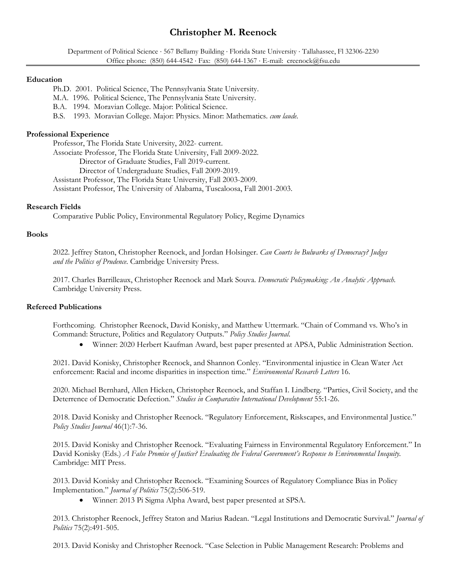# **Christopher M. Reenock**

Department of Political Science · 567 Bellamy Building · Florida State University · Tallahassee, Fl 32306-2230 Office phone: (850) 644-4542 Fax: (850) 644-1367 E-mail: creenock@fsu.edu

#### **Education**

Ph.D. 2001. Political Science, The Pennsylvania State University.

M.A. 1996. Political Science, The Pennsylvania State University.

B.A. 1994. Moravian College. Major: Political Science.

B.S. 1993. Moravian College. Major: Physics. Minor: Mathematics. *cum laude.* 

# **Professional Experience**

 Professor, The Florida State University, 2022- current. Associate Professor, The Florida State University, Fall 2009-2022. Director of Graduate Studies, Fall 2019-current. Director of Undergraduate Studies, Fall 2009-2019. Assistant Professor, The Florida State University, Fall 2003-2009. Assistant Professor, The University of Alabama, Tuscaloosa, Fall 2001-2003.

## **Research Fields**

Comparative Public Policy, Environmental Regulatory Policy, Regime Dynamics

## **Books**

2022. Jeffrey Staton, Christopher Reenock, and Jordan Holsinger. *Can Courts be Bulwarks of Democracy? Judges and the Politics of Prudence*. Cambridge University Press.

2017. Charles Barrilleaux, Christopher Reenock and Mark Souva. *Democratic Policymaking: An Analytic Approach.*  Cambridge University Press.

### **Refereed Publications**

Forthcoming. Christopher Reenock, David Konisky, and Matthew Uttermark. "Chain of Command vs. Who's in Command: Structure, Politics and Regulatory Outputs." *Policy Studies Journal*.

Winner: 2020 Herbert Kaufman Award, best paper presented at APSA, Public Administration Section.

2021. David Konisky, Christopher Reenock, and Shannon Conley. "Environmental injustice in Clean Water Act enforcement: Racial and income disparities in inspection time." *Environmental Research Letters* 16.

2020. Michael Bernhard, Allen Hicken, Christopher Reenock, and Staffan I. Lindberg. "Parties, Civil Society, and the Deterrence of Democratic Defection." *Studies in Comparative International Development* 55:1-26.

2018. David Konisky and Christopher Reenock. "Regulatory Enforcement, Riskscapes, and Environmental Justice." *Policy Studies Journal* 46(1):7-36.

2015. David Konisky and Christopher Reenock. "Evaluating Fairness in Environmental Regulatory Enforcement." In David Konisky (Eds.) *A False Promise of Justice? Evaluating the Federal Government's Response to Environmental Inequity.* Cambridge: MIT Press.

2013. David Konisky and Christopher Reenock. "Examining Sources of Regulatory Compliance Bias in Policy Implementation." *Journal of Politics* 75(2):506-519.

Winner: 2013 Pi Sigma Alpha Award, best paper presented at SPSA.

2013. Christopher Reenock, Jeffrey Staton and Marius Radean. "Legal Institutions and Democratic Survival." *Journal of Politics* 75(2):491-505.

2013. David Konisky and Christopher Reenock. "Case Selection in Public Management Research: Problems and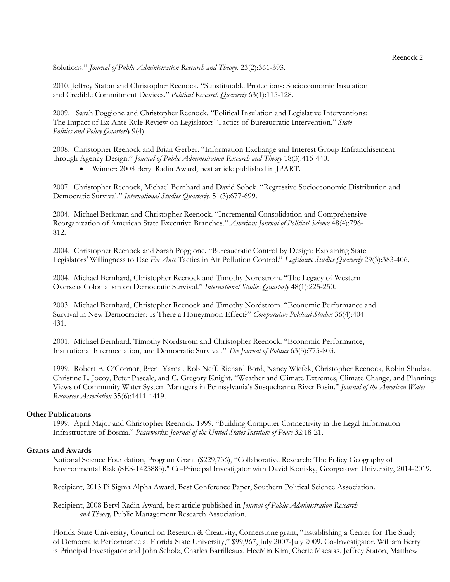Solutions." *Journal of Public Administration Research and Theory.* 23(2):361-393.

2010. Jeffrey Staton and Christopher Reenock. "Substitutable Protections: Socioeconomic Insulation and Credible Commitment Devices." *Political Research Quarterly* 63(1):115-128.

2009. Sarah Poggione and Christopher Reenock. "Political Insulation and Legislative Interventions: The Impact of Ex Ante Rule Review on Legislators' Tactics of Bureaucratic Intervention." *State Politics and Policy Quarterly* 9(4).

2008. Christopher Reenock and Brian Gerber. "Information Exchange and Interest Group Enfranchisement through Agency Design." *Journal of Public Administration Research and Theory* 18(3):415-440.

Winner: 2008 Beryl Radin Award, best article published in JPART.

2007. Christopher Reenock, Michael Bernhard and David Sobek. "Regressive Socioeconomic Distribution and Democratic Survival." *International Studies Quarterly*. 51(3):677-699.

2004. Michael Berkman and Christopher Reenock. "Incremental Consolidation and Comprehensive Reorganization of American State Executive Branches." *American Journal of Political Science* 48(4):796- 812.

2004. Christopher Reenock and Sarah Poggione. "Bureaucratic Control by Design: Explaining State Legislators' Willingness to Use *Ex Ante* Tactics in Air Pollution Control." *Legislative Studies Quarterly* 29(3):383-406.

2004. Michael Bernhard, Christopher Reenock and Timothy Nordstrom. "The Legacy of Western Overseas Colonialism on Democratic Survival." *International Studies Quarterly* 48(1):225-250.

2003. Michael Bernhard, Christopher Reenock and Timothy Nordstrom. "Economic Performance and Survival in New Democracies: Is There a Honeymoon Effect?" *Comparative Political Studies* 36(4):404- 431.

2001. Michael Bernhard, Timothy Nordstrom and Christopher Reenock. "Economic Performance, Institutional Intermediation, and Democratic Survival." *The Journal of Politics* 63(3):775-803.

1999. Robert E. O'Connor, Brent Yarnal, Rob Neff, Richard Bord, Nancy Wiefek, Christopher Reenock, Robin Shudak, Christine L. Jocoy, Peter Pascale, and C. Gregory Knight. "Weather and Climate Extremes, Climate Change, and Planning: Views of Community Water System Managers in Pennsylvania's Susquehanna River Basin." *Journal of the American Water Resources Association* 35(6):1411-1419.

# **Other Publications**

1999. April Major and Christopher Reenock. 1999. "Building Computer Connectivity in the Legal Information Infrastructure of Bosnia." *Peaceworks: Journal of the United States Institute of Peace* 32:18-21.

### **Grants and Awards**

National Science Foundation, Program Grant (\$229,736), "Collaborative Research: The Policy Geography of Environmental Risk (SES-1425883)." Co-Principal Investigator with David Konisky, Georgetown University, 2014-2019.

Recipient, 2013 Pi Sigma Alpha Award, Best Conference Paper, Southern Political Science Association.

Recipient, 2008 Beryl Radin Award, best article published in *Journal of Public Administration Research and Theory,* Public Management Research Association.

Florida State University, Council on Research & Creativity, Cornerstone grant, "Establishing a Center for The Study of Democratic Performance at Florida State University," \$99,967, July 2007-July 2009. Co-Investigator. William Berry is Principal Investigator and John Scholz, Charles Barrilleaux, HeeMin Kim, Cherie Maestas, Jeffrey Staton, Matthew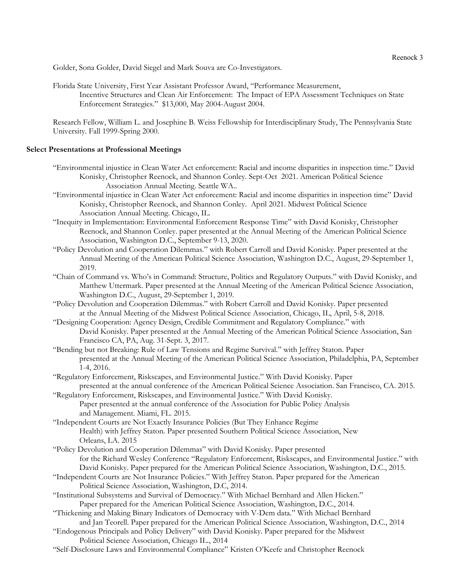Golder, Sona Golder, David Siegel and Mark Souva are Co-Investigators.

Florida State University, First Year Assistant Professor Award, "Performance Measurement, Incentive Structures and Clean Air Enforcement: The Impact of EPA Assessment Techniques on State Enforcement Strategies." \$13,000, May 2004-August 2004.

Research Fellow, William L. and Josephine B. Weiss Fellowship for Interdisciplinary Study, The Pennsylvania State University. Fall 1999-Spring 2000.

## **Select Presentations at Professional Meetings**

- "Environmental injustice in Clean Water Act enforcement: Racial and income disparities in inspection time." David Konisky, Christopher Reenock, and Shannon Conley. Sept-Oct 2021. American Political Science Association Annual Meeting. Seattle WA..
- "Environmental injustice in Clean Water Act enforcement: Racial and income disparities in inspection time" David Konisky, Christopher Reenock, and Shannon Conley. April 2021. Midwest Political Science Association Annual Meeting. Chicago, IL.
- "Inequity in Implementation: Environmental Enforcement Response Time" with David Konisky, Christopher Reenock, and Shannon Conley. paper presented at the Annual Meeting of the American Political Science Association, Washington D.C., September 9-13, 2020.
- "Policy Devolution and Cooperation Dilemmas." with Robert Carroll and David Konisky. Paper presented at the Annual Meeting of the American Political Science Association, Washington D.C., August, 29-September 1, 2019.
- "Chain of Command vs. Who's in Command: Structure, Politics and Regulatory Outputs." with David Konisky, and Matthew Uttermark. Paper presented at the Annual Meeting of the American Political Science Association, Washington D.C., August, 29-September 1, 2019.
- "Policy Devolution and Cooperation Dilemmas." with Robert Carroll and David Konisky. Paper presented at the Annual Meeting of the Midwest Political Science Association, Chicago, IL, April, 5-8, 2018.
- "Designing Cooperation: Agency Design, Credible Commitment and Regulatory Compliance." with David Konisky. Paper presented at the Annual Meeting of the American Political Science Association, San Francisco CA, PA, Aug. 31-Sept. 3, 2017.
- "Bending but not Breaking: Rule of Law Tensions and Regime Survival." with Jeffrey Staton. Paper presented at the Annual Meeting of the American Political Science Association, Philadelphia, PA, September 1-4, 2016.
- "Regulatory Enforcement, Riskscapes, and Environmental Justice." With David Konisky. Paper presented at the annual conference of the American Political Science Association. San Francisco, CA. 2015.
- "Regulatory Enforcement, Riskscapes, and Environmental Justice." With David Konisky. Paper presented at the annual conference of the Association for Public Policy Analysis and Management. Miami, FL. 2015.
- "Independent Courts are Not Exactly Insurance Policies (But They Enhance Regime Health) with Jeffrey Staton. Paper presented Southern Political Science Association, New Orleans, LA. 2015
- "Policy Devolution and Cooperation Dilemmas" with David Konisky. Paper presented for the Richard Wesley Conference "Regulatory Enforcement, Riskscapes, and Environmental Justice." with David Konisky. Paper prepared for the American Political Science Association, Washington, D.C., 2015.
- "Independent Courts are Not Insurance Policies." With Jeffrey Staton. Paper prepared for the American Political Science Association, Washington, D.C, 2014.
- "Institutional Subsystems and Survival of Democracy." With Michael Bernhard and Allen Hicken." Paper prepared for the American Political Science Association, Washington, D.C., 2014.
- "Thickening and Making Binary Indicators of Democracy with V-Dem data." With Michael Bernhard and Jan Teorell. Paper prepared for the American Political Science Association, Washington, D.C., 2014
- "Endogenous Principals and Policy Delivery" with David Konisky. Paper prepared for the Midwest Political Science Association, Chicago IL., 2014
- "Self-Disclosure Laws and Environmental Compliance" Kristen O'Keefe and Christopher Reenock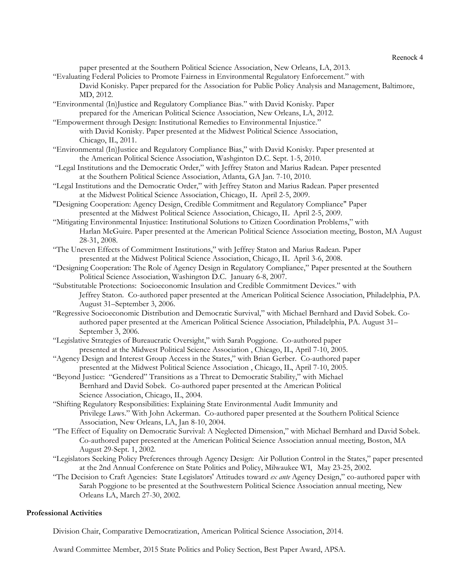Reenock 4

paper presented at the Southern Political Science Association, New Orleans, LA, 2013.

- "Evaluating Federal Policies to Promote Fairness in Environmental Regulatory Enforcement." with David Konisky. Paper prepared for the Association for Public Policy Analysis and Management, Baltimore, MD, 2012.
- "Environmental (In)Justice and Regulatory Compliance Bias." with David Konisky. Paper prepared for the American Political Science Association, New Orleans, LA, 2012.

"Empowerment through Design: Institutional Remedies to Environmental Injustice." with David Konisky. Paper presented at the Midwest Political Science Association, Chicago, IL, 2011.

- "Environmental (In)Justice and Regulatory Compliance Bias," with David Konisky. Paper presented at the American Political Science Association, Washginton D.C. Sept. 1-5, 2010.
- "Legal Institutions and the Democratic Order," with Jeffrey Staton and Marius Radean. Paper presented at the Southern Political Science Association, Atlanta, GA Jan. 7-10, 2010.
- "Legal Institutions and the Democratic Order," with Jeffrey Staton and Marius Radean. Paper presented at the Midwest Political Science Association, Chicago, IL April 2-5, 2009.
- "Designing Cooperation: Agency Design, Credible Commitment and Regulatory Compliance" Paper presented at the Midwest Political Science Association, Chicago, IL April 2-5, 2009.
- "Mitigating Environmental Injustice: Institutional Solutions to Citizen Coordination Problems," with Harlan McGuire. Paper presented at the American Political Science Association meeting, Boston, MA August 28-31, 2008.
- "The Uneven Effects of Commitment Institutions," with Jeffrey Staton and Marius Radean. Paper presented at the Midwest Political Science Association, Chicago, IL April 3-6, 2008.
- "Designing Cooperation: The Role of Agency Design in Regulatory Compliance," Paper presented at the Southern Political Science Association, Washington D.C. January 6-8, 2007.
- "Substitutable Protections: Socioeconomic Insulation and Credible Commitment Devices." with Jeffrey Staton. Co-authored paper presented at the American Political Science Association, Philadelphia, PA. August 31–September 3, 2006.
- "Regressive Socioeconomic Distribution and Democratic Survival," with Michael Bernhard and David Sobek. Coauthored paper presented at the American Political Science Association, Philadelphia, PA. August 31– September 3, 2006.
- "Legislative Strategies of Bureaucratic Oversight," with Sarah Poggione. Co-authored paper presented at the Midwest Political Science Association , Chicago, IL, April 7-10, 2005.
- "Agency Design and Interest Group Access in the States," with Brian Gerber. Co-authored paper presented at the Midwest Political Science Association , Chicago, IL, April 7-10, 2005.
- "Beyond Justice: "Gendered" Transitions as a Threat to Democratic Stability," with Michael Bernhard and David Sobek. Co-authored paper presented at the American Political Science Association, Chicago, IL, 2004.
- "Shifting Regulatory Responsibilities: Explaining State Environmental Audit Immunity and Privilege Laws." With John Ackerman. Co-authored paper presented at the Southern Political Science Association, New Orleans, LA, Jan 8-10, 2004.
- "The Effect of Equality on Democratic Survival: A Neglected Dimension," with Michael Bernhard and David Sobek. Co-authored paper presented at the American Political Science Association annual meeting, Boston, MA August 29-Sept. 1, 2002.
- "Legislators Seeking Policy Preferences through Agency Design: Air Pollution Control in the States," paper presented at the 2nd Annual Conference on State Politics and Policy, Milwaukee WI, May 23-25, 2002.
- "The Decision to Craft Agencies: State Legislators' Attitudes toward *ex ante* Agency Design," co-authored paper with Sarah Poggione to be presented at the Southwestern Political Science Association annual meeting, New Orleans LA, March 27-30, 2002.

# **Professional Activities**

Division Chair, Comparative Democratization, American Political Science Association, 2014.

Award Committee Member, 2015 State Politics and Policy Section, Best Paper Award, APSA.